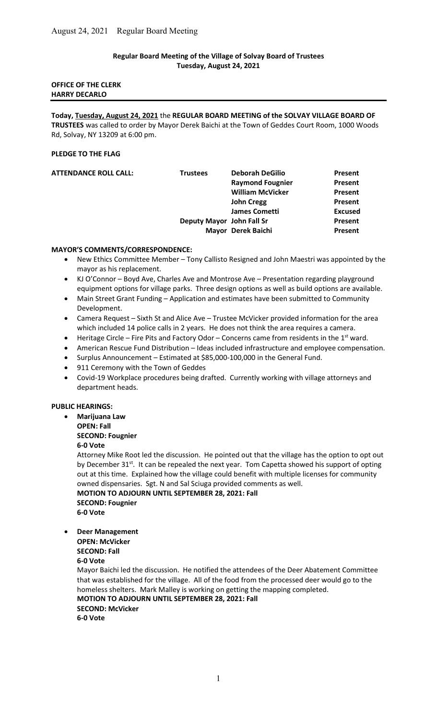# Regular Board Meeting of the Village of Solvay Board of Trustees Tuesday, August 24, 2021

## OFFICE OF THE CLERK HARRY DECARLO

Today, Tuesday, August 24, 2021 the REGULAR BOARD MEETING of the SOLVAY VILLAGE BOARD OF TRUSTEES was called to order by Mayor Derek Baichi at the Town of Geddes Court Room, 1000 Woods Rd, Solvay, NY 13209 at 6:00 pm.

# PLEDGE TO THE FLAG

| <b>ATTENDANCE ROLL CALL:</b> | <b>Trustees</b>           | <b>Deborah DeGilio</b>  | Present        |
|------------------------------|---------------------------|-------------------------|----------------|
|                              |                           | <b>Raymond Fougnier</b> | Present        |
|                              |                           | <b>William McVicker</b> | Present        |
|                              |                           | <b>John Cregg</b>       | Present        |
|                              |                           | <b>James Cometti</b>    | <b>Excused</b> |
|                              | Deputy Mayor John Fall Sr |                         | Present        |
|                              |                           | Mayor Derek Baichi      | Present        |
|                              |                           |                         |                |

### MAYOR'S COMMENTS/CORRESPONDENCE:

- New Ethics Committee Member Tony Callisto Resigned and John Maestri was appointed by the mayor as his replacement.
- KJ O'Connor Boyd Ave, Charles Ave and Montrose Ave Presentation regarding playground equipment options for village parks. Three design options as well as build options are available.
- Main Street Grant Funding Application and estimates have been submitted to Community Development.
- Camera Request Sixth St and Alice Ave Trustee McVicker provided information for the area which included 14 police calls in 2 years. He does not think the area requires a camera.
- $\bullet$  Heritage Circle Fire Pits and Factory Odor Concerns came from residents in the 1<sup>st</sup> ward.
- American Rescue Fund Distribution Ideas included infrastructure and employee compensation.
- Surplus Announcement Estimated at \$85,000-100,000 in the General Fund.
- 911 Ceremony with the Town of Geddes
- Covid-19 Workplace procedures being drafted. Currently working with village attorneys and department heads.

### PUBLIC HEARINGS:

 Marijuana Law OPEN: Fall SECOND: Fougnier 6-0 Vote

Attorney Mike Root led the discussion. He pointed out that the village has the option to opt out by December  $31^{st}$ . It can be repealed the next year. Tom Capetta showed his support of opting out at this time. Explained how the village could benefit with multiple licenses for community owned dispensaries. Sgt. N and Sal Sciuga provided comments as well.

MOTION TO ADJOURN UNTIL SEPTEMBER 28, 2021: Fall SECOND: Fougnier 6-0 Vote

- Deer Management
	- OPEN: McVicker

SECOND: Fall

6-0 Vote

Mayor Baichi led the discussion. He notified the attendees of the Deer Abatement Committee that was established for the village. All of the food from the processed deer would go to the homeless shelters. Mark Malley is working on getting the mapping completed. MOTION TO ADJOURN UNTIL SEPTEMBER 28, 2021: Fall SECOND: McVicker 6-0 Vote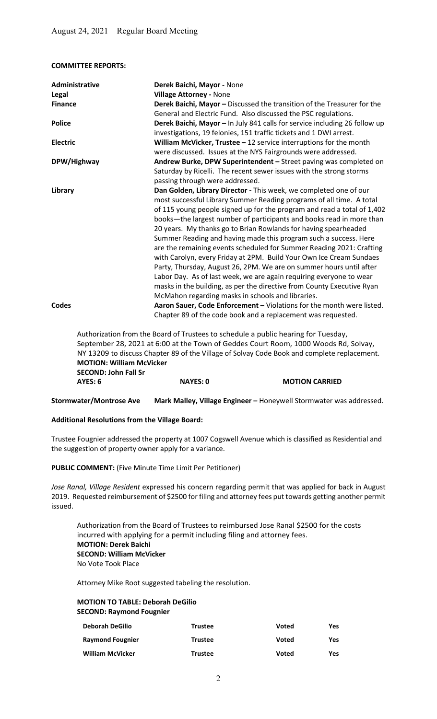COMMITTEE REPORTS:

| Administrative  | Derek Baichi, Mayor - None                                                                                                                                                                                                                                                                                                                                                                                                                                                                                                                                                                                                                                                                                                                                                                                                                                      |
|-----------------|-----------------------------------------------------------------------------------------------------------------------------------------------------------------------------------------------------------------------------------------------------------------------------------------------------------------------------------------------------------------------------------------------------------------------------------------------------------------------------------------------------------------------------------------------------------------------------------------------------------------------------------------------------------------------------------------------------------------------------------------------------------------------------------------------------------------------------------------------------------------|
| Legal           | <b>Village Attorney - None</b>                                                                                                                                                                                                                                                                                                                                                                                                                                                                                                                                                                                                                                                                                                                                                                                                                                  |
| <b>Finance</b>  | Derek Baichi, Mayor - Discussed the transition of the Treasurer for the<br>General and Electric Fund. Also discussed the PSC regulations.                                                                                                                                                                                                                                                                                                                                                                                                                                                                                                                                                                                                                                                                                                                       |
| <b>Police</b>   | Derek Baichi, Mayor - In July 841 calls for service including 26 follow up<br>investigations, 19 felonies, 151 traffic tickets and 1 DWI arrest.                                                                                                                                                                                                                                                                                                                                                                                                                                                                                                                                                                                                                                                                                                                |
| <b>Electric</b> | William McVicker, Trustee $-12$ service interruptions for the month<br>were discussed. Issues at the NYS Fairgrounds were addressed.                                                                                                                                                                                                                                                                                                                                                                                                                                                                                                                                                                                                                                                                                                                            |
| DPW/Highway     | Andrew Burke, DPW Superintendent - Street paving was completed on<br>Saturday by Ricelli. The recent sewer issues with the strong storms<br>passing through were addressed.                                                                                                                                                                                                                                                                                                                                                                                                                                                                                                                                                                                                                                                                                     |
| Library         | Dan Golden, Library Director - This week, we completed one of our<br>most successful Library Summer Reading programs of all time. A total<br>of 115 young people signed up for the program and read a total of 1,402<br>books-the largest number of participants and books read in more than<br>20 years. My thanks go to Brian Rowlands for having spearheaded<br>Summer Reading and having made this program such a success. Here<br>are the remaining events scheduled for Summer Reading 2021: Crafting<br>with Carolyn, every Friday at 2PM. Build Your Own Ice Cream Sundaes<br>Party, Thursday, August 26, 2PM. We are on summer hours until after<br>Labor Day. As of last week, we are again requiring everyone to wear<br>masks in the building, as per the directive from County Executive Ryan<br>McMahon regarding masks in schools and libraries. |
| <b>Codes</b>    | Aaron Sauer, Code Enforcement - Violations for the month were listed.<br>Chapter 89 of the code book and a replacement was requested.                                                                                                                                                                                                                                                                                                                                                                                                                                                                                                                                                                                                                                                                                                                           |
|                 | Authorization from the Board of Trustees to schedule a public hearing for Tuesday,                                                                                                                                                                                                                                                                                                                                                                                                                                                                                                                                                                                                                                                                                                                                                                              |

 September 28, 2021 at 6:00 at the Town of Geddes Court Room, 1000 Woods Rd, Solvay, NY 13209 to discuss Chapter 89 of the Village of Solvay Code Book and complete replacement. MOTION: William McVicker SECOND: John Fall Sr AYES: 6 NAYES: 0 MOTION CARRIED

Stormwater/Montrose Ave Mark Malley, Village Engineer - Honeywell Stormwater was addressed.

#### Additional Resolutions from the Village Board:

Trustee Fougnier addressed the property at 1007 Cogswell Avenue which is classified as Residential and the suggestion of property owner apply for a variance.

PUBLIC COMMENT: (Five Minute Time Limit Per Petitioner)

Jose Ranal, Village Resident expressed his concern regarding permit that was applied for back in August 2019. Requested reimbursement of \$2500 for filing and attorney fees put towards getting another permit issued.

 Authorization from the Board of Trustees to reimbursed Jose Ranal \$2500 for the costs incurred with applying for a permit including filing and attorney fees. MOTION: Derek Baichi SECOND: William McVicker No Vote Took Place

Attorney Mike Root suggested tabeling the resolution.

### MOTION TO TABLE: Deborah DeGilio SECOND: Raymond Fougnier

| <b>Deborah DeGilio</b>  | <b>Trustee</b> | Voted | Yes |
|-------------------------|----------------|-------|-----|
| <b>Raymond Fougnier</b> | <b>Trustee</b> | Voted | Yes |
| <b>William McVicker</b> | <b>Trustee</b> | Voted | Yes |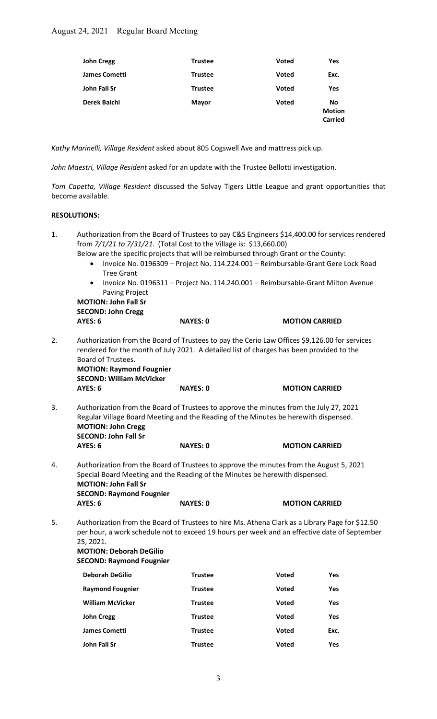| <b>John Cregg</b>    | <b>Trustee</b> | <b>Voted</b> | Yes                                   |
|----------------------|----------------|--------------|---------------------------------------|
| <b>James Cometti</b> | <b>Trustee</b> | <b>Voted</b> | Exc.                                  |
| John Fall Sr         | <b>Trustee</b> | <b>Voted</b> | Yes                                   |
| Derek Baichi         | <b>Mayor</b>   | <b>Voted</b> | No<br><b>Motion</b><br><b>Carried</b> |

Kathy Marinelli, Village Resident asked about 805 Cogswell Ave and mattress pick up.

John Maestri, Village Resident asked for an update with the Trustee Bellotti investigation.

Tom Capetta, Village Resident discussed the Solvay Tigers Little League and grant opportunities that become available.

#### RESOLUTIONS:

| 1. | from 7/1/21 to 7/31/21. (Total Cost to the Village is: \$13,660.00)<br>Below are the specific projects that will be reimbursed through Grant or the County:<br>$\bullet$<br><b>Tree Grant</b>                                                                                         |                 | Authorization from the Board of Trustees to pay C&S Engineers \$14,400.00 for services rendered<br>Invoice No. 0196309 - Project No. 114.224.001 - Reimbursable-Grant Gere Lock Road |      |  |
|----|---------------------------------------------------------------------------------------------------------------------------------------------------------------------------------------------------------------------------------------------------------------------------------------|-----------------|--------------------------------------------------------------------------------------------------------------------------------------------------------------------------------------|------|--|
|    | $\bullet$<br><b>Paving Project</b><br><b>MOTION: John Fall Sr</b>                                                                                                                                                                                                                     |                 | Invoice No. 0196311 - Project No. 114.240.001 - Reimbursable-Grant Milton Avenue                                                                                                     |      |  |
|    | <b>SECOND: John Cregg</b>                                                                                                                                                                                                                                                             |                 |                                                                                                                                                                                      |      |  |
|    | <b>AYES: 6</b>                                                                                                                                                                                                                                                                        | <b>NAYES: 0</b> | <b>MOTION CARRIED</b>                                                                                                                                                                |      |  |
| 2. | Authorization from the Board of Trustees to pay the Cerio Law Offices \$9,126.00 for services<br>rendered for the month of July 2021. A detailed list of charges has been provided to the<br>Board of Trustees.<br><b>MOTION: Raymond Fougnier</b><br><b>SECOND: William McVicker</b> |                 |                                                                                                                                                                                      |      |  |
|    | AYES: 6                                                                                                                                                                                                                                                                               | <b>NAYES: 0</b> | <b>MOTION CARRIED</b>                                                                                                                                                                |      |  |
| 3. | Authorization from the Board of Trustees to approve the minutes from the July 27, 2021<br>Regular Village Board Meeting and the Reading of the Minutes be herewith dispensed.<br><b>MOTION: John Cregg</b><br><b>SECOND: John Fall Sr</b>                                             |                 |                                                                                                                                                                                      |      |  |
|    | AYES: 6                                                                                                                                                                                                                                                                               | <b>NAYES: 0</b> | <b>MOTION CARRIED</b>                                                                                                                                                                |      |  |
| 4. | Authorization from the Board of Trustees to approve the minutes from the August 5, 2021<br>Special Board Meeting and the Reading of the Minutes be herewith dispensed.<br><b>MOTION: John Fall Sr</b><br><b>SECOND: Raymond Fougnier</b>                                              |                 |                                                                                                                                                                                      |      |  |
|    | <b>AYES: 6</b>                                                                                                                                                                                                                                                                        | <b>NAYES: 0</b> | <b>MOTION CARRIED</b>                                                                                                                                                                |      |  |
| 5. | Authorization from the Board of Trustees to hire Ms. Athena Clark as a Library Page for \$12.50<br>per hour, a work schedule not to exceed 19 hours per week and an effective date of September<br>25, 2021.<br><b>MOTION: Deborah DeGilio</b><br><b>SECOND: Raymond Fougnier</b>     |                 |                                                                                                                                                                                      |      |  |
|    | <b>Deborah DeGilio</b>                                                                                                                                                                                                                                                                | <b>Trustee</b>  | Voted                                                                                                                                                                                | Yes  |  |
|    | <b>Raymond Fougnier</b>                                                                                                                                                                                                                                                               | <b>Trustee</b>  | <b>Voted</b>                                                                                                                                                                         | Yes  |  |
|    | <b>William McVicker</b>                                                                                                                                                                                                                                                               | <b>Trustee</b>  | <b>Voted</b>                                                                                                                                                                         | Yes  |  |
|    | <b>John Cregg</b>                                                                                                                                                                                                                                                                     | <b>Trustee</b>  | <b>Voted</b>                                                                                                                                                                         | Yes  |  |
|    | <b>James Cometti</b>                                                                                                                                                                                                                                                                  | <b>Trustee</b>  | Voted                                                                                                                                                                                | Exc. |  |
|    | John Fall Sr                                                                                                                                                                                                                                                                          | <b>Trustee</b>  | Voted                                                                                                                                                                                | Yes  |  |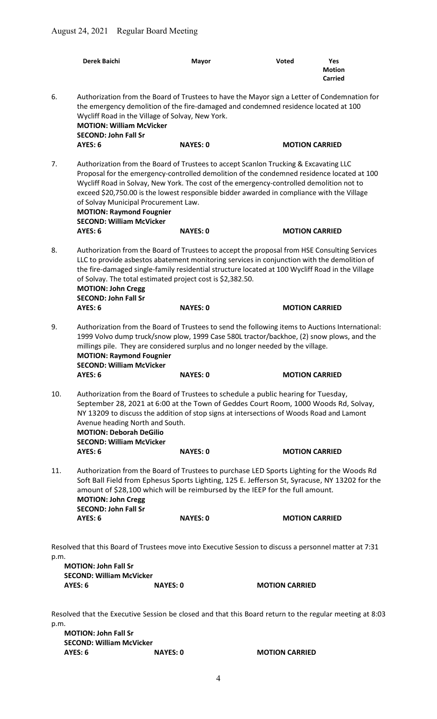|                                                                                                                                                                                  | Derek Baichi                                                                                                                                                                                                                                                                                                                                                                                                                                                                               | <b>Mayor</b>    | <b>Voted</b>          | Yes<br><b>Motion</b><br><b>Carried</b> |
|----------------------------------------------------------------------------------------------------------------------------------------------------------------------------------|--------------------------------------------------------------------------------------------------------------------------------------------------------------------------------------------------------------------------------------------------------------------------------------------------------------------------------------------------------------------------------------------------------------------------------------------------------------------------------------------|-----------------|-----------------------|----------------------------------------|
| 6.                                                                                                                                                                               | Authorization from the Board of Trustees to have the Mayor sign a Letter of Condemnation for<br>the emergency demolition of the fire-damaged and condemned residence located at 100<br>Wycliff Road in the Village of Solvay, New York.<br><b>MOTION: William McVicker</b><br><b>SECOND: John Fall Sr</b>                                                                                                                                                                                  |                 |                       |                                        |
|                                                                                                                                                                                  | AYES: 6                                                                                                                                                                                                                                                                                                                                                                                                                                                                                    | <b>NAYES: 0</b> | <b>MOTION CARRIED</b> |                                        |
| 7.                                                                                                                                                                               | Authorization from the Board of Trustees to accept Scanlon Trucking & Excavating LLC<br>Proposal for the emergency-controlled demolition of the condemned residence located at 100<br>Wycliff Road in Solvay, New York. The cost of the emergency-controlled demolition not to<br>exceed \$20,750.00 is the lowest responsible bidder awarded in compliance with the Village<br>of Solvay Municipal Procurement Law.<br><b>MOTION: Raymond Fougnier</b><br><b>SECOND: William McVicker</b> |                 |                       |                                        |
|                                                                                                                                                                                  | AYES: 6                                                                                                                                                                                                                                                                                                                                                                                                                                                                                    | <b>NAYES: 0</b> | <b>MOTION CARRIED</b> |                                        |
| 8.                                                                                                                                                                               | Authorization from the Board of Trustees to accept the proposal from HSE Consulting Services<br>LLC to provide asbestos abatement monitoring services in conjunction with the demolition of<br>the fire-damaged single-family residential structure located at 100 Wycliff Road in the Village<br>of Solvay. The total estimated project cost is \$2,382.50.<br><b>MOTION: John Cregg</b><br><b>SECOND: John Fall Sr</b>                                                                   |                 |                       |                                        |
|                                                                                                                                                                                  | <b>AYES: 6</b>                                                                                                                                                                                                                                                                                                                                                                                                                                                                             | <b>NAYES: 0</b> | <b>MOTION CARRIED</b> |                                        |
| 9.                                                                                                                                                                               | Authorization from the Board of Trustees to send the following items to Auctions International:<br>1999 Volvo dump truck/snow plow, 1999 Case 580L tractor/backhoe, (2) snow plows, and the<br>millings pile. They are considered surplus and no longer needed by the village.<br><b>MOTION: Raymond Fougnier</b><br><b>SECOND: William McVicker</b>                                                                                                                                       |                 |                       |                                        |
|                                                                                                                                                                                  | AYES: 6                                                                                                                                                                                                                                                                                                                                                                                                                                                                                    | <b>NAYES: 0</b> | <b>MOTION CARRIED</b> |                                        |
| 10.                                                                                                                                                                              | Authorization from the Board of Trustees to schedule a public hearing for Tuesday,<br>September 28, 2021 at 6:00 at the Town of Geddes Court Room, 1000 Woods Rd, Solvay,<br>NY 13209 to discuss the addition of stop signs at intersections of Woods Road and Lamont<br>Avenue heading North and South.<br><b>MOTION: Deborah DeGilio</b><br><b>SECOND: William McVicker</b><br>AYES: 6<br><b>NAYES: 0</b><br><b>MOTION CARRIED</b>                                                       |                 |                       |                                        |
| 11.                                                                                                                                                                              | Authorization from the Board of Trustees to purchase LED Sports Lighting for the Woods Rd<br>Soft Ball Field from Ephesus Sports Lighting, 125 E. Jefferson St, Syracuse, NY 13202 for the<br>amount of \$28,100 which will be reimbursed by the IEEP for the full amount.<br><b>MOTION: John Cregg</b><br><b>SECOND: John Fall Sr</b>                                                                                                                                                     |                 |                       |                                        |
|                                                                                                                                                                                  | AYES: 6                                                                                                                                                                                                                                                                                                                                                                                                                                                                                    | <b>NAYES: 0</b> | <b>MOTION CARRIED</b> |                                        |
| Resolved that this Board of Trustees move into Executive Session to discuss a personnel matter at 7:31<br>p.m.<br><b>MOTION: John Fall Sr</b><br><b>SECOND: William McVicker</b> |                                                                                                                                                                                                                                                                                                                                                                                                                                                                                            |                 |                       |                                        |
|                                                                                                                                                                                  | <b>AYES: 6</b><br><b>NAYES: 0</b>                                                                                                                                                                                                                                                                                                                                                                                                                                                          |                 | <b>MOTION CARRIED</b> |                                        |
| p.m.                                                                                                                                                                             | Resolved that the Executive Session be closed and that this Board return to the regular meeting at 8:03                                                                                                                                                                                                                                                                                                                                                                                    |                 |                       |                                        |

MOTION: John Fall Sr SECOND: William McVicker<br>AYES: 6 NAYES: 0 AYES: 6 NAYES: 0 MOTION CARRIED